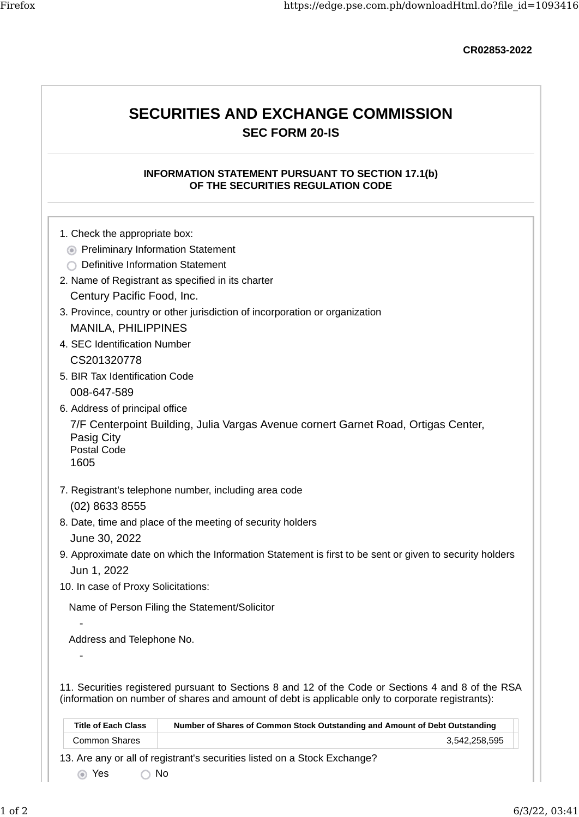CR02853-2022

# SECURITIES AND EXCHANGE COMMISSION SEC FORM 20-IS

### INFORMATION STATEMENT PURSUANT TO SECTION 17.1(b) OF THE SECURITIES REGULATION CODE

- 1. Check the appropriate box:
	- **•** Preliminary Information Statement
	- ◯ Definitive Information Statement
- 2. Name of Registrant as specified in its charter Century Pacific Food, Inc.
- 3. Province, country or other jurisdiction of incorporation or organization MANILA, PHILIPPINES
- 4. SEC Identification Number CS201320778
- 5. BIR Tax Identification Code 008-647-589
- 6. Address of principal office

7/F Centerpoint Building, Julia Vargas Avenue cornert Garnet Road, Ortigas Center, Pasig City Postal Code

1605

-

-

- 7. Registrant's telephone number, including area code (02) 8633 8555
- 8. Date, time and place of the meeting of security holders June 30, 2022
- 9. Approximate date on which the Information Statement is first to be sent or given to security holders Jun 1, 2022
- 10. In case of Proxy Solicitations:

Name of Person Filing the Statement/Solicitor

Address and Telephone No.

11. Securities registered pursuant to Sections 8 and 12 of the Code or Sections 4 and 8 of the RSA (information on number of shares and amount of debt is applicable only to corporate registrants):

| <b>Title of Each Class</b> | Number of Shares of Common Stock Outstanding and Amount of Debt Outstanding |
|----------------------------|-----------------------------------------------------------------------------|
| Common Shares              | 3.542.258.595                                                               |
|                            | 3. Are any or all of registrant's securities listed on a Stock Exchange?    |

13. Are any or all of registrant's securities listed on a Stock Exchange?

Yes No